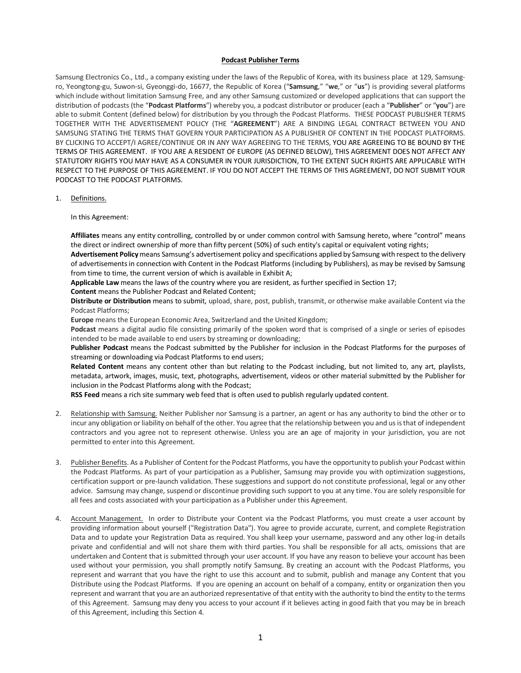## **Podcast Publisher Terms**

Samsung Electronics Co., Ltd., a company existing under the laws of the Republic of Korea, with its business place at 129, Samsungro, Yeongtong-gu, Suwon-si, Gyeonggi-do, 16677, the Republic of Korea ("**Samsung**," "**we**," or "**us**") is providing several platforms which include without limitation Samsung Free, and any other Samsung customized or developed applications that can support the distribution of podcasts (the "**Podcast Platforms**") whereby you, a podcast distributor or producer (each a "**Publisher**" or "**you**") are able to submit Content (defined below) for distribution by you through the Podcast Platforms. THESE PODCAST PUBLISHER TERMS TOGETHER WITH THE ADVERTISEMENT POLICY (THE "**AGREEMENT**") ARE A BINDING LEGAL CONTRACT BETWEEN YOU AND SAMSUNG STATING THE TERMS THAT GOVERN YOUR PARTICIPATION AS A PUBLISHER OF CONTENT IN THE PODCAST PLATFORMS. BY CLICKING TO ACCEPT/I AGREE/CONTINUE OR IN ANY WAY AGREEING TO THE TERMS, YOU ARE AGREEING TO BE BOUND BY THE TERMS OF THIS AGREEMENT. IF YOU ARE A RESIDENT OF EUROPE (AS DEFINED BELOW), THIS AGREEMENT DOES NOT AFFECT ANY STATUTORY RIGHTS YOU MAY HAVE AS A CONSUMER IN YOUR JURISDICTION, TO THE EXTENT SUCH RIGHTS ARE APPLICABLE WITH RESPECT TO THE PURPOSE OF THIS AGREEMENT. IF YOU DO NOT ACCEPT THE TERMS OF THIS AGREEMENT, DO NOT SUBMIT YOUR PODCAST TO THE PODCAST PLATFORMS.

- 1. Definitions.
	- In this Agreement:

**Affiliates** means any entity controlling, controlled by or under common control with Samsung hereto, where "control" means the direct or indirect ownership of more than fifty percent (50%) of such entity's capital or equivalent voting rights;

**Advertisement Policy**means Samsung's advertisement policy and specifications applied by Samsung with respect to the delivery of advertisementsin connection with Content in the Podcast Platforms (including by Publishers), as may be revised by Samsung from time to time, the current version of which is available in Exhibit A;

**Applicable Law** means the laws of the country where you are resident, as further specified in Section 17;

**Content** means the Publisher Podcast and Related Content;

**Distribute or Distribution** means to submit, upload, share, post, publish, transmit, or otherwise make available Content via the Podcast Platforms;

**Europe** means the European Economic Area, Switzerland and the United Kingdom;

**Podcast** means a digital audio file consisting primarily of the spoken word that is comprised of a single or series of episodes intended to be made available to end users by streaming or downloading;

**Publisher Podcast** means the Podcast submitted by the Publisher for inclusion in the Podcast Platforms for the purposes of streaming or downloading via Podcast Platforms to end users;

**Related Content** means any content other than but relating to the Podcast including, but not limited to, any art, playlists, metadata, artwork, images, music, text, photographs, advertisement, videos or other material submitted by the Publisher for inclusion in the Podcast Platforms along with the Podcast;

**RSS Feed** means a rich site summary web feed that is often used to publish regularly updated content.

- 2. Relationship with Samsung. Neither Publisher nor Samsung is a partner, an agent or has any authority to bind the other or to incur any obligation or liability on behalf of the other. You agree that the relationship between you and usisthat of independent contractors and you agree not to represent otherwise. Unless you are an age of majority in your jurisdiction, you are not permitted to enter into this Agreement.
- 3. Publisher Benefits. As a Publisher of Content for the Podcast Platforms, you have the opportunity to publish your Podcast within the Podcast Platforms. As part of your participation as a Publisher, Samsung may provide you with optimization suggestions, certification support or pre-launch validation. These suggestions and support do not constitute professional, legal or any other advice. Samsung may change, suspend or discontinue providing such support to you at any time. You are solely responsible for all fees and costs associated with your participation as a Publisher under this Agreement.
- 4. Account Management. In order to Distribute your Content via the Podcast Platforms, you must create a user account by providing information about yourself ("Registration Data"). You agree to provide accurate, current, and complete Registration Data and to update your Registration Data as required. You shall keep your username, password and any other log-in details private and confidential and will not share them with third parties. You shall be responsible for all acts, omissions that are undertaken and Content that is submitted through your user account. If you have any reason to believe your account has been used without your permission, you shall promptly notify Samsung. By creating an account with the Podcast Platforms, you represent and warrant that you have the right to use this account and to submit, publish and manage any Content that you Distribute using the Podcast Platforms. If you are opening an account on behalf of a company, entity or organization then you represent and warrant that you are an authorized representative of that entity with the authority to bind the entity to the terms of this Agreement. Samsung may deny you access to your account if it believes acting in good faith that you may be in breach of this Agreement, including this Section 4.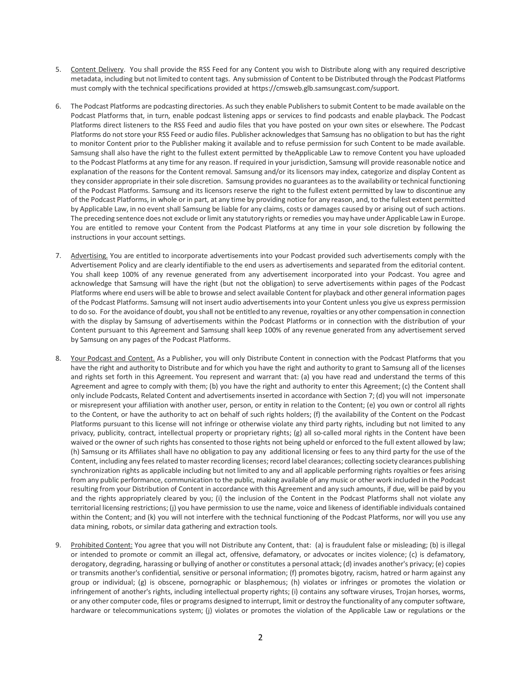- 5. Content Delivery. You shall provide the RSS Feed for any Content you wish to Distribute along with any required descriptive metadata, including but notlimited to content tags. Any submission of Content to be Distributed through the Podcast Platforms must comply with the technical specifications provided at https://cmsweb.glb.samsungcast.com/support.
- 6. The Podcast Platforms are podcasting directories. As such they enable Publishers to submit Content to be made available on the Podcast Platforms that, in turn, enable podcast listening apps or services to find podcasts and enable playback. The Podcast Platforms direct listeners to the RSS Feed and audio files that you have posted on your own sites or elsewhere. The Podcast Platforms do not store your RSS Feed or audio files. Publisher acknowledges that Samsung has no obligation to but has the right to monitor Content prior to the Publisher making it available and to refuse permission for such Content to be made available. Samsung shall also have the right to the fullest extent permitted by theApplicable Law to remove Content you have uploaded to the Podcast Platforms at any time for any reason. If required in your jurisdiction, Samsung will provide reasonable notice and explanation of the reasons for the Content removal. Samsung and/or its licensors may index, categorize and display Content as they consider appropriate in their sole discretion. Samsung provides no guarantees as to the availability or technical functioning of the Podcast Platforms. Samsung and its licensors reserve the right to the fullest extent permitted by law to discontinue any of the Podcast Platforms, in whole or in part, at any time by providing notice for any reason, and, to the fullest extent permitted by Applicable Law, in no event shall Samsung be liable for any claims, costs or damages caused by or arising out of such actions. The preceding sentence does not exclude orlimit any statutory rights or remedies you may have under Applicable Law in Europe. You are entitled to remove your Content from the Podcast Platforms at any time in your sole discretion by following the instructions in your account settings.
- 7. Advertising. You are entitled to incorporate advertisements into your Podcast provided such advertisements comply with the Advertisement Policy and are clearly identifiable to the end users as advertisements and separated from the editorial content. You shall keep 100% of any revenue generated from any advertisement incorporated into your Podcast. You agree and acknowledge that Samsung will have the right (but not the obligation) to serve advertisements within pages of the Podcast Platforms where end users will be able to browse and select available Content for playback and other general information pages of the Podcast Platforms. Samsung will not insert audio advertisementsinto your Content unless you give us express permission to do so. For the avoidance of doubt, you shall not be entitled to any revenue, royalties or any other compensation in connection with the display by Samsung of advertisements within the Podcast Platforms or in connection with the distribution of your Content pursuant to this Agreement and Samsung shall keep 100% of any revenue generated from any advertisement served by Samsung on any pages of the Podcast Platforms.
- 8. Your Podcast and Content. As a Publisher, you will only Distribute Content in connection with the Podcast Platforms that you have the right and authority to Distribute and for which you have the right and authority to grant to Samsung all of the licenses and rights set forth in this Agreement. You represent and warrant that: (a) you have read and understand the terms of this Agreement and agree to comply with them; (b) you have the right and authority to enter this Agreement; (c) the Content shall only include Podcasts, Related Content and advertisements inserted in accordance with Section 7; (d) you will not impersonate or misrepresent your affiliation with another user, person, or entity in relation to the Content; (e) you own or control all rights to the Content, or have the authority to act on behalf of such rights holders; (f) the availability of the Content on the Podcast Platforms pursuant to this license will not infringe or otherwise violate any third party rights, including but not limited to any privacy, publicity, contract, intellectual property or proprietary rights; (g) all so-called moral rights in the Content have been waived or the owner of such rights has consented to those rights not being upheld or enforced to the full extent allowed by law; (h) Samsung or its Affiliates shall have no obligation to pay any additional licensing or fees to any third party for the use of the Content, including any fees related to master recording licenses; record label clearances; collecting society clearances publishing synchronization rights as applicable including but not limited to any and all applicable performing rights royalties or fees arising from any public performance, communication to the public, making available of any music or other work included in the Podcast resulting from your Distribution of Content in accordance with this Agreement and any such amounts, if due, will be paid by you and the rights appropriately cleared by you; (i) the inclusion of the Content in the Podcast Platforms shall not violate any territorial licensing restrictions; (j) you have permission to use the name, voice and likeness of identifiable individuals contained within the Content; and (k) you will not interfere with the technical functioning of the Podcast Platforms, nor will you use any data mining, robots, or similar data gathering and extraction tools.
- 9. Prohibited Content: You agree that you will not Distribute any Content, that: (a) is fraudulent false or misleading; (b) is illegal or intended to promote or commit an illegal act, offensive, defamatory, or advocates or incites violence; (c) is defamatory, derogatory, degrading, harassing or bullying of another or constitutes a personal attack; (d) invades another's privacy; (e) copies or transmits another's confidential, sensitive or personal information; (f) promotes bigotry, racism, hatred or harm against any group or individual; (g) is obscene, pornographic or blasphemous; (h) violates or infringes or promotes the violation or infringement of another's rights, including intellectual property rights; (i) contains any software viruses, Trojan horses, worms, or any other computer code, files or programs designed to interrupt, limit or destroy the functionality of any computersoftware, hardware or telecommunications system; (j) violates or promotes the violation of the Applicable Law or regulations or the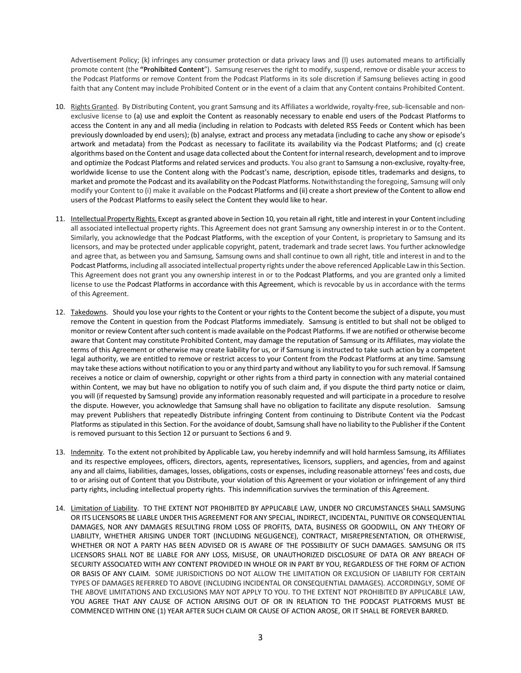Advertisement Policy; (k) infringes any consumer protection or data privacy laws and (l) uses automated means to artificially promote content (the **"Prohibited Content**"). Samsung reserves the right to modify, suspend, remove or disable your access to the Podcast Platforms or remove Content from the Podcast Platforms in its sole discretion if Samsung believes acting in good faith that any Content may include Prohibited Content or in the event of a claim that any Content contains Prohibited Content.

- 10. Rights Granted. By Distributing Content, you grant Samsung and its Affiliates a worldwide, royalty-free, sub-licensable and nonexclusive license to (a) use and exploit the Content as reasonably necessary to enable end users of the Podcast Platforms to access the Content in any and all media (including in relation to Podcasts with deleted RSS Feeds or Content which has been previously downloaded by end users); (b) analyse, extract and process any metadata (including to cache any show or episode's artwork and metadata) from the Podcast as necessary to facilitate its availability via the Podcast Platforms; and (c) create algorithms based on the Content and usage data collected about the Contentforinternal research, development and to improve and optimize the Podcast Platforms and related services and products. You also grant to Samsung a non-exclusive, royalty-free, worldwide license to use the Content along with the Podcast's name, description, episode titles, trademarks and designs, to market and promote the Podcast and its availability on the Podcast Platforms. Notwithstanding the foregoing, Samsung will only modify your Content to (i) make it available on the Podcast Platforms and (ii) create a short preview of the Content to allow end users of the Podcast Platforms to easily select the Content they would like to hear.
- 11. Intellectual Property Rights. Except as granted above in Section 10, you retain all right, title and interest in your Content including all associated intellectual property rights. This Agreement does not grant Samsung any ownership interest in or to the Content. Similarly, you acknowledge that the Podcast Platforms, with the exception of your Content, is proprietary to Samsung and its licensors, and may be protected under applicable copyright, patent, trademark and trade secret laws. You further acknowledge and agree that, as between you and Samsung, Samsung owns and shall continue to own all right, title and interest in and to the Podcast Platforms, including all associated intellectual property rights under the above referenced Applicable Law in this Section. This Agreement does not grant you any ownership interest in or to the Podcast Platforms, and you are granted only a limited license to use the Podcast Platforms in accordance with this Agreement, which is revocable by us in accordance with the terms of this Agreement.
- 12. Takedowns. Should you lose your rights to the Content or your rights to the Content become the subject of a dispute, you must remove the Content in question from the Podcast Platforms immediately. Samsung is entitled to but shall not be obliged to monitor or review Content after such content is made available on the Podcast Platforms. If we are notified or otherwise become aware that Content may constitute Prohibited Content, may damage the reputation of Samsung or its Affiliates, may violate the terms of this Agreement or otherwise may create liability for us, or if Samsung is instructed to take such action by a competent legal authority, we are entitled to remove or restrict access to your Content from the Podcast Platforms at any time. Samsung may take these actions without notification to you or any third party and without any liability to you forsuch removal. If Samsung receives a notice or claim of ownership, copyright or other rights from a third party in connection with any material contained within Content, we may but have no obligation to notify you of such claim and, if you dispute the third party notice or claim, you will (if requested by Samsung) provide any information reasonably requested and will participate in a procedure to resolve the dispute. However, you acknowledge that Samsung shall have no obligation to facilitate any dispute resolution. Samsung may prevent Publishers that repeatedly Distribute infringing Content from continuing to Distribute Content via the Podcast Platforms as stipulated in this Section. For the avoidance of doubt, Samsung shall have no liability to the Publisher if the Content is removed pursuant to this Section 12 or pursuant to Sections 6 and 9.
- 13. Indemnity. To the extent not prohibited by Applicable Law, you hereby indemnify and will hold harmless Samsung, its Affiliates and its respective employees, officers, directors, agents, representatives, licensors, suppliers, and agencies, from and against any and all claims, liabilities, damages, losses, obligations, costs or expenses, including reasonable attorneys' fees and costs, due to or arising out of Content that you Distribute, your violation of this Agreement or your violation or infringement of any third party rights, including intellectual property rights. This indemnification survives the termination of this Agreement.
- 14. Limitation of Liability. TO THE EXTENT NOT PROHIBITED BY APPLICABLE LAW, UNDER NO CIRCUMSTANCES SHALL SAMSUNG OR ITS LICENSORS BE LIABLE UNDER THIS AGREEMENT FOR ANY SPECIAL, INDIRECT, INCIDENTAL, PUNITIVE OR CONSEQUENTIAL DAMAGES, NOR ANY DAMAGES RESULTING FROM LOSS OF PROFITS, DATA, BUSINESS OR GOODWILL, ON ANY THEORY OF LIABILITY, WHETHER ARISING UNDER TORT (INCLUDING NEGLIGENCE), CONTRACT, MISREPRESENTATION, OR OTHERWISE, WHETHER OR NOT A PARTY HAS BEEN ADVISED OR IS AWARE OF THE POSSIBILITY OF SUCH DAMAGES. SAMSUNG OR ITS LICENSORS SHALL NOT BE LIABLE FOR ANY LOSS, MISUSE, OR UNAUTHORIZED DISCLOSURE OF DATA OR ANY BREACH OF SECURITY ASSOCIATED WITH ANY CONTENT PROVIDED IN WHOLE OR IN PART BY YOU, REGARDLESS OF THE FORM OF ACTION OR BASIS OF ANY CLAIM. SOME JURISDICTIONS DO NOT ALLOW THE LIMITATION OR EXCLUSION OF LIABILITY FOR CERTAIN TYPES OF DAMAGES REFERRED TO ABOVE (INCLUDING INCIDENTAL OR CONSEQUENTIAL DAMAGES). ACCORDINGLY, SOME OF THE ABOVE LIMITATIONS AND EXCLUSIONS MAY NOT APPLY TO YOU. TO THE EXTENT NOT PROHIBITED BY APPLICABLE LAW, YOU AGREE THAT ANY CAUSE OF ACTION ARISING OUT OF OR IN RELATION TO THE PODCAST PLATFORMS MUST BE COMMENCED WITHIN ONE (1) YEAR AFTER SUCH CLAIM OR CAUSE OF ACTION AROSE, OR IT SHALL BE FOREVER BARRED.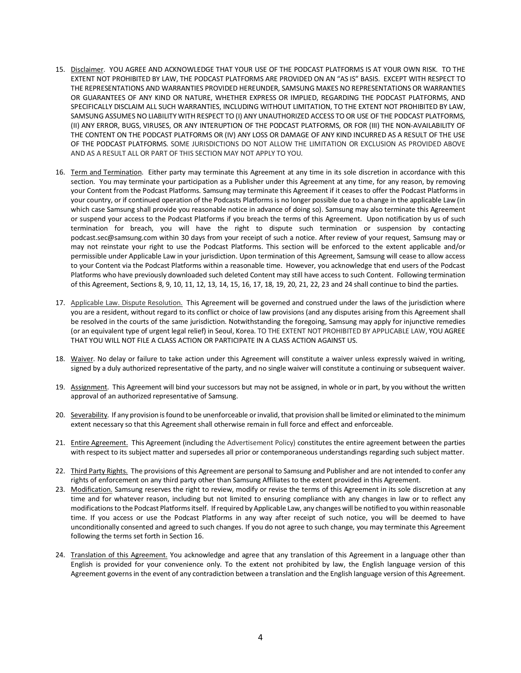- 15. Disclaimer. YOU AGREE AND ACKNOWLEDGE THAT YOUR USE OF THE PODCAST PLATFORMS IS AT YOUR OWN RISK. TO THE EXTENT NOT PROHIBITED BY LAW, THE PODCAST PLATFORMS ARE PROVIDED ON AN "AS IS" BASIS. EXCEPT WITH RESPECT TO THE REPRESENTATIONS AND WARRANTIES PROVIDED HEREUNDER, SAMSUNG MAKES NO REPRESENTATIONS OR WARRANTIES OR GUARANTEES OF ANY KIND OR NATURE, WHETHER EXPRESS OR IMPLIED, REGARDING THE PODCAST PLATFORMS, AND SPECIFICALLY DISCLAIM ALL SUCH WARRANTIES, INCLUDING WITHOUT LIMITATION, TO THE EXTENT NOT PROHIBITED BY LAW, SAMSUNG ASSUMES NO LIABILITY WITH RESPECT TO (I) ANY UNAUTHORIZED ACCESS TO OR USE OF THE PODCAST PLATFORMS, (II) ANY ERROR, BUGS, VIRUSES, OR ANY INTERUPTION OF THE PODCAST PLATFORMS, OR FOR (III) THE NON-AVAILABILITY OF THE CONTENT ON THE PODCAST PLATFORMS OR (IV) ANY LOSS OR DAMAGE OF ANY KIND INCURRED AS A RESULT OF THE USE OF THE PODCAST PLATFORMS. SOME JURISDICTIONS DO NOT ALLOW THE LIMITATION OR EXCLUSION AS PROVIDED ABOVE AND AS A RESULT ALL OR PART OF THIS SECTION MAY NOT APPLY TO YOU.
- 16. Term and Termination. Either party may terminate this Agreement at any time in its sole discretion in accordance with this section. You may terminate your participation as a Publisher under this Agreement at any time, for any reason, by removing your Content from the Podcast Platforms. Samsung may terminate this Agreement if it ceases to offer the Podcast Platforms in your country, or if continued operation of the Podcasts Platformsis no longer possible due to a change in the applicable Law (in which case Samsung shall provide you reasonable notice in advance of doing so). Samsung may also terminate this Agreement or suspend your access to the Podcast Platforms if you breach the terms of this Agreement. Upon notification by us of such termination for breach, you will have the right to dispute such termination or suspension by contacting podcast.sec@samsung.com within 30 days from your receipt of such a notice. After review of your request, Samsung may or may not reinstate your right to use the Podcast Platforms. This section will be enforced to the extent applicable and/or permissible under Applicable Law in your jurisdiction. Upon termination of this Agreement, Samsung will cease to allow access to your Content via the Podcast Platforms within a reasonable time. However, you acknowledge that end users of the Podcast Platforms who have previously downloaded such deleted Content may still have access to such Content. Following termination of this Agreement, Sections 8, 9, 10, 11, 12, 13, 14, 15, 16, 17, 18, 19, 20, 21, 22, 23 and 24 shall continue to bind the parties.
- 17. Applicable Law. Dispute Resolution. This Agreement will be governed and construed under the laws of the jurisdiction where you are a resident, without regard to its conflict or choice of law provisions (and any disputes arising from this Agreement shall be resolved in the courts of the same jurisdiction. Notwithstanding the foregoing, Samsung may apply for injunctive remedies (or an equivalent type of urgent legal relief) in Seoul, Korea. TO THE EXTENT NOT PROHIBITED BY APPLICABLE LAW, YOU AGREE THAT YOU WILL NOT FILE A CLASS ACTION OR PARTICIPATE IN A CLASS ACTION AGAINST US.
- 18. Waiver. No delay or failure to take action under this Agreement will constitute a waiver unless expressly waived in writing, signed by a duly authorized representative of the party, and no single waiver will constitute a continuing or subsequent waiver.
- 19. Assignment. This Agreement will bind your successors but may not be assigned, in whole or in part, by you without the written approval of an authorized representative of Samsung.
- 20. Severability. If any provision isfound to be unenforceable orinvalid, that provision shall be limited or eliminated to the minimum extent necessary so that this Agreement shall otherwise remain in full force and effect and enforceable.
- 21. Entire Agreement. This Agreement (including the Advertisement Policy) constitutes the entire agreement between the parties with respect to its subject matter and supersedes all prior or contemporaneous understandings regarding such subject matter.
- 22. Third Party Rights. The provisions of this Agreement are personal to Samsung and Publisher and are not intended to confer any rights of enforcement on any third party other than Samsung Affiliates to the extent provided in this Agreement.
- 23. Modification. Samsung reserves the right to review, modify or revise the terms of this Agreement in its sole discretion at any time and for whatever reason, including but not limited to ensuring compliance with any changes in law or to reflect any modificationsto the Podcast Platformsitself. Ifrequired by Applicable Law, any changes will be notified to you within reasonable time. If you access or use the Podcast Platforms in any way after receipt of such notice, you will be deemed to have unconditionally consented and agreed to such changes. If you do not agree to such change, you may terminate this Agreement following the terms set forth in Section 16.
- 24. Translation of this Agreement. You acknowledge and agree that any translation of this Agreement in a language other than English is provided for your convenience only. To the extent not prohibited by law, the English language version of this Agreement governsin the event of any contradiction between a translation and the English language version of this Agreement.